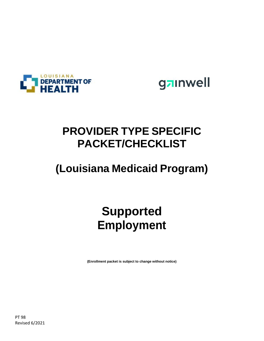



### **PROVIDER TYPE SPECIFIC PACKET/CHECKLIST**

## **(Louisiana Medicaid Program)**

# **Supported Employment**

**(Enrollment packet is subject to change without notice)**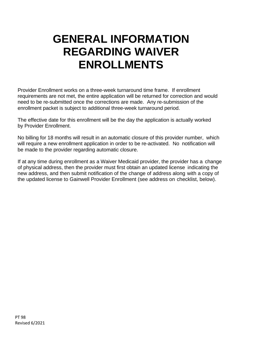## **GENERAL INFORMATION REGARDING WAIVER ENROLLMENTS**

Provider Enrollment works on a three-week turnaround time frame. If enrollment requirements are not met, the entire application will be returned for correction and would need to be re-submitted once the corrections are made. Any re-submission of the enrollment packet is subject to additional three-week turnaround period.

The effective date for this enrollment will be the day the application is actually worked by Provider Enrollment.

No billing for 18 months will result in an automatic closure of this provider number, which will require a new enrollment application in order to be re-activated. No notification will be made to the provider regarding automatic closure.

If at any time during enrollment as a Waiver Medicaid provider, the provider has a change of physical address, then the provider must first obtain an updated license indicating the new address, and then submit notification of the change of address along with a copy of the updated license to Gainwell Provider Enrollment (see address on checklist, below).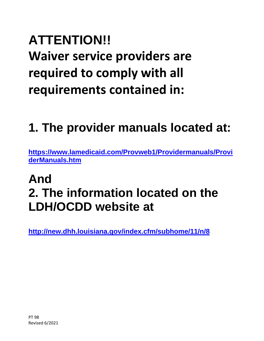# **ATTENTION!! Waiver service providers are required to comply with all requirements contained in:**

# **1. The provider manuals located at:**

**[https://www.lamedicaid.com/Provweb1/Providermanuals/Provi](https://www.lamedicaid.com/Provweb1/Providermanuals/ProviderManuals.htm) [derManuals.htm](https://www.lamedicaid.com/Provweb1/Providermanuals/ProviderManuals.htm)**

## **And 2. The information located on the LDH/OCDD website at**

**<http://new.dhh.louisiana.gov/index.cfm/subhome/11/n/8>**